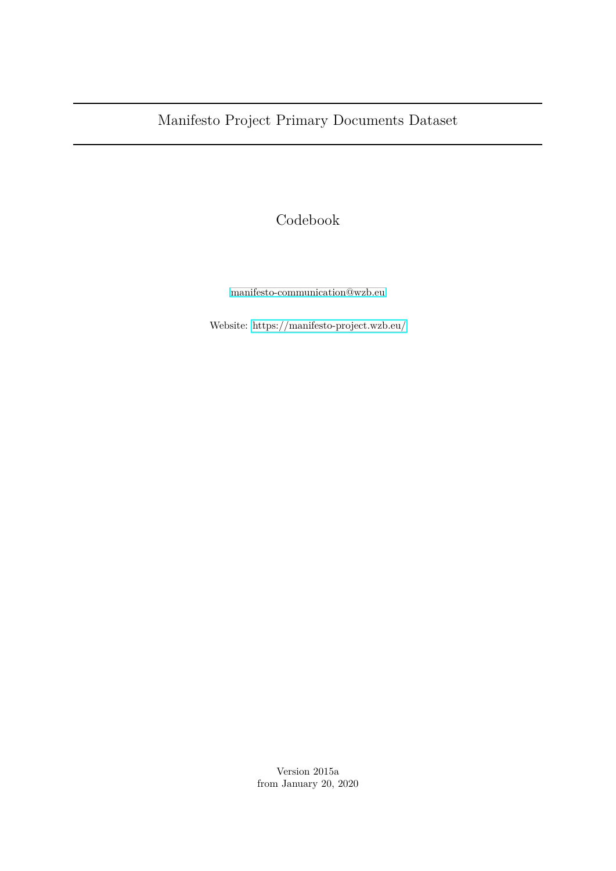# Manifesto Project Primary Documents Dataset

Codebook

[manifesto-communication@wzb.eu](mailto:manifesto-communication@wzb.eu)

Website:<https://manifesto-project.wzb.eu/>

Version 2015a from January 20, 2020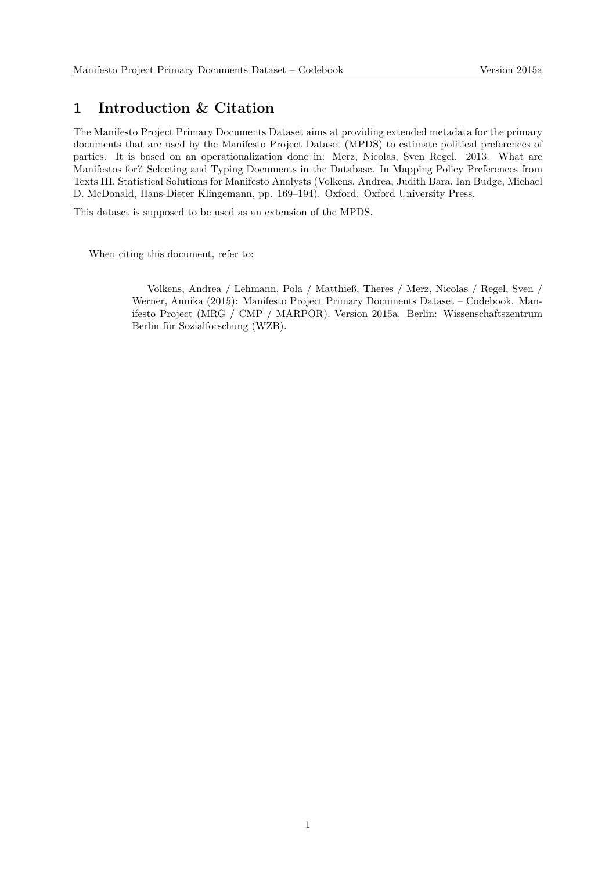#### **1 Introduction & Citation**

The Manifesto Project Primary Documents Dataset aims at providing extended metadata for the primary documents that are used by the Manifesto Project Dataset (MPDS) to estimate political preferences of parties. It is based on an operationalization done in: Merz, Nicolas, Sven Regel. 2013. What are Manifestos for? Selecting and Typing Documents in the Database. In Mapping Policy Preferences from Texts III. Statistical Solutions for Manifesto Analysts (Volkens, Andrea, Judith Bara, Ian Budge, Michael D. McDonald, Hans-Dieter Klingemann, pp. 169–194). Oxford: Oxford University Press.

This dataset is supposed to be used as an extension of the MPDS.

When citing this document, refer to:

Volkens, Andrea / Lehmann, Pola / Matthieß, Theres / Merz, Nicolas / Regel, Sven / Werner, Annika (2015): Manifesto Project Primary Documents Dataset – Codebook. Manifesto Project (MRG / CMP / MARPOR). Version 2015a. Berlin: Wissenschaftszentrum Berlin für Sozialforschung (WZB).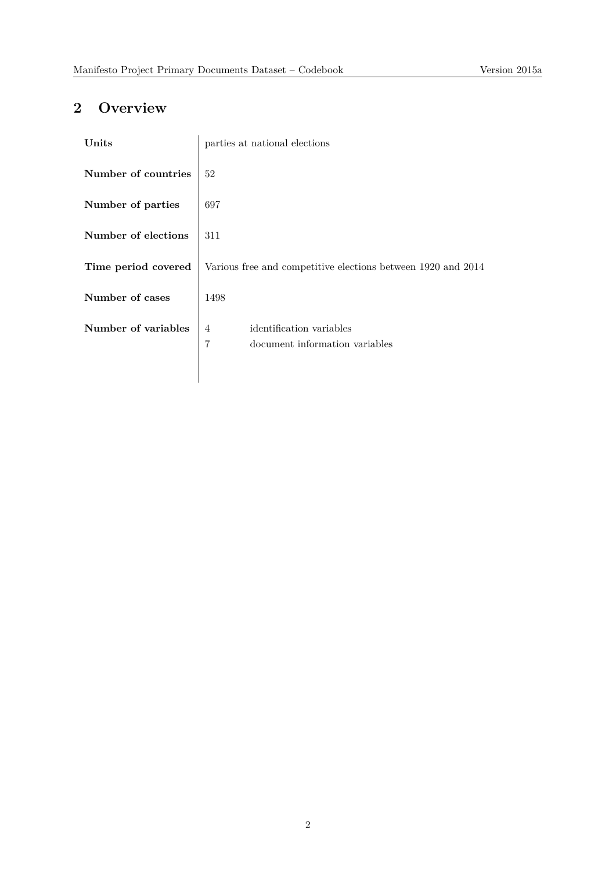## **2 Overview**

| Units               | parties at national elections                                                     |  |  |
|---------------------|-----------------------------------------------------------------------------------|--|--|
| Number of countries | 52                                                                                |  |  |
| Number of parties   | 697                                                                               |  |  |
| Number of elections | 311                                                                               |  |  |
| Time period covered | Various free and competitive elections between 1920 and 2014                      |  |  |
| Number of cases     | 1498                                                                              |  |  |
| Number of variables | identification variables<br>4<br>$\overline{7}$<br>document information variables |  |  |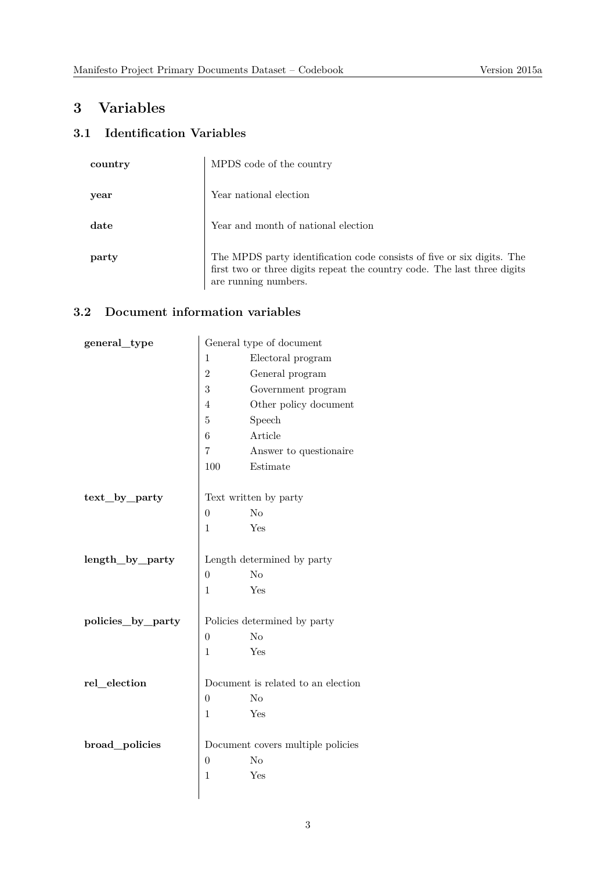### **3 Variables**

### **3.1 Identification Variables**

| country | MPDS code of the country                                                                                                                                                   |
|---------|----------------------------------------------------------------------------------------------------------------------------------------------------------------------------|
| year    | Year national election                                                                                                                                                     |
| date    | Year and month of national election                                                                                                                                        |
| party   | The MPDS party identification code consists of five or six digits. The<br>first two or three digits repeat the country code. The last three digits<br>are running numbers. |

#### **3.2 Document information variables**

| general_type      | General type of document           |                              |  |
|-------------------|------------------------------------|------------------------------|--|
|                   | Electoral program<br>$\mathbf 1$   |                              |  |
|                   | $\overline{2}$                     | General program              |  |
|                   | 3                                  | Government program           |  |
|                   | 4                                  | Other policy document        |  |
|                   | 5                                  | Speech                       |  |
|                   | 6                                  | Article                      |  |
|                   | 7                                  | Answer to questionaire       |  |
|                   | 100                                | Estimate                     |  |
|                   |                                    |                              |  |
| $text\_by\_party$ | Text written by party              |                              |  |
|                   | $\overline{0}$                     | N <sub>o</sub>               |  |
|                   | $\mathbf{1}$                       | Yes                          |  |
|                   |                                    |                              |  |
| length_by_party   |                                    | Length determined by party   |  |
|                   | $\overline{0}$                     | N <sub>o</sub>               |  |
|                   | $\mathbf{1}$                       | Yes                          |  |
|                   |                                    |                              |  |
| policies_by_party |                                    | Policies determined by party |  |
|                   | $\boldsymbol{0}$                   | N <sub>o</sub>               |  |
|                   | $\mathbf 1$                        | Yes                          |  |
| rel_election      | Document is related to an election |                              |  |
|                   | N <sub>o</sub><br>$\overline{0}$   |                              |  |
|                   | $\mathbf{1}$                       | Yes                          |  |
|                   |                                    |                              |  |
| broad_policies    | Document covers multiple policies  |                              |  |
|                   | $\overline{0}$<br>N <sub>o</sub>   |                              |  |
|                   | $\mathbf{1}$                       | Yes                          |  |
|                   |                                    |                              |  |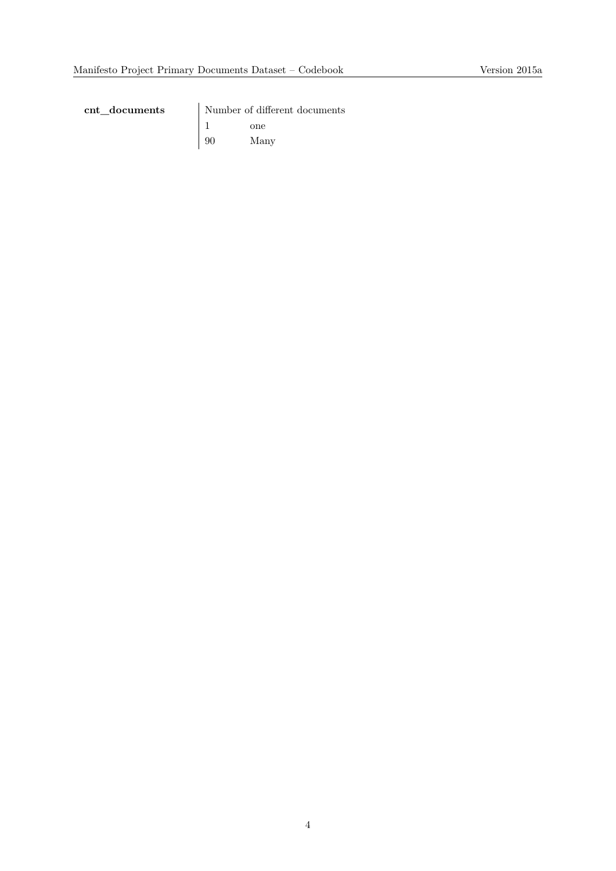**cnt\_documents** Number of different documents  $\begin{array}{ccc} 1 & & \textrm{one} \\ 90 & & \textrm{Mar} \end{array}$ Many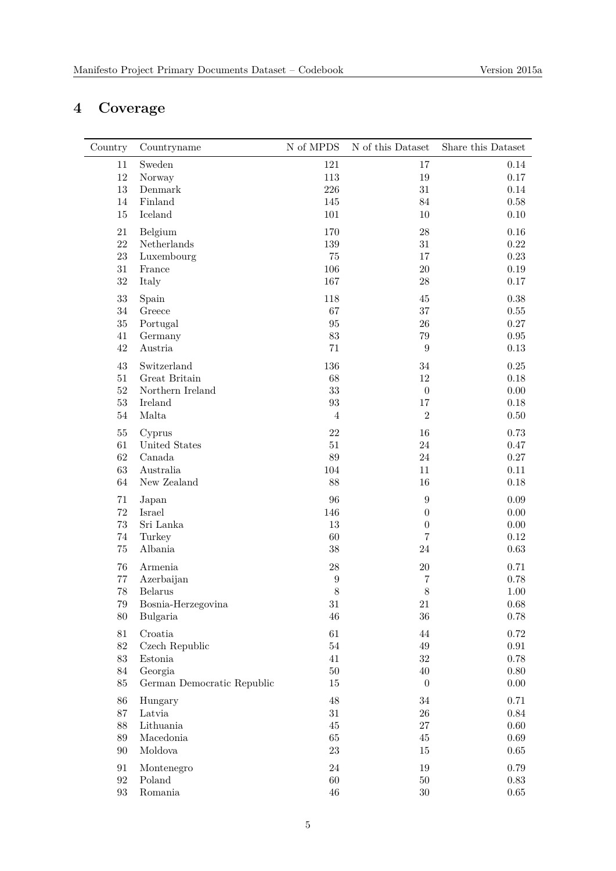# **4 Coverage**

| Country           | Countryname                | N of MPDS        | N of this Dataset | Share this Dataset   |
|-------------------|----------------------------|------------------|-------------------|----------------------|
| 11                | Sweden                     | 121              | 17                | 0.14                 |
| $12\,$            | Norway                     | 113              | $19\,$            | $0.17\,$             |
| $13\,$            | Denmark                    | 226              | $31\,$            | 0.14                 |
| 14                | Finland                    | 145              | $84\,$            | $0.58\,$             |
| 15                | Iceland                    | 101              | 10                | $0.10\,$             |
|                   |                            |                  |                   |                      |
| 21                | Belgium                    | 170              | $28\,$            | 0.16                 |
| 22                | Netherlands                | 139              | $31\,$            | $0.22\,$             |
| $23\,$            | Luxembourg                 | 75               | 17                | $0.23\,$             |
| $31\,$            | France                     | 106              | $20\,$            | $0.19\,$             |
| $32\,$            | Italy                      | 167              | $28\,$            | $0.17\,$             |
| $33\,$            | Spain                      | 118              | 45                | 0.38                 |
| $34\,$            | Greece                     | 67               | $37\,$            | $0.55\,$             |
| 35                | Portugal                   | 95               | $26\,$            | $0.27\,$             |
| 41                | Germany                    | 83               | 79                | $\rm 0.95$           |
| 42                | Austria                    | 71               | $\boldsymbol{9}$  | $0.13\,$             |
| 43                | Switzerland                | 136              | 34                | $0.25\,$             |
| 51                | Great Britain              | 68               | 12                | 0.18                 |
| $52\,$            | Northern Ireland           | 33               | $\boldsymbol{0}$  | $0.00\,$             |
| $53\,$            | Ireland                    | 93               | 17                | 0.18                 |
| $54\,$            | Malta                      | $\overline{4}$   | $\overline{2}$    | $0.50\,$             |
| $55\,$            |                            | 22               | $16\,$            | 0.73                 |
|                   | Cyprus                     | 51               | 24                |                      |
| 61<br>62          | United States              | 89               | 24                | 0.47                 |
|                   | Canada<br>Australia        |                  | 11                | $0.27\,$             |
| 63<br>64          | New Zealand                | 104<br>88        | 16                | $0.11\,$<br>$0.18\,$ |
|                   |                            |                  |                   |                      |
| 71                | Japan                      | 96               | $\boldsymbol{9}$  | $0.09\,$             |
| $72\,$            | Israel                     | 146              | $\overline{0}$    | $0.00\,$             |
| $73\,$            | Sri Lanka                  | 13               | $\boldsymbol{0}$  | 0.00                 |
| $74\,$            | Turkey                     | 60               | $\,7$             | $0.12\,$             |
| 75                | Albania                    | 38               | 24                | $0.63\,$             |
| 76                | Armenia                    | 28               | $20\,$            | 0.71                 |
| 77                | Azerbaijan                 | $\boldsymbol{9}$ | 7                 | 0.78                 |
| $78\,$            | <b>Belarus</b>             | 8                | 8                 | 1.00                 |
| 79                | Bosnia-Herzegovina         | $31\,$           | $21\,$            | 0.68                 |
| $80\,$            | Bulgaria                   | 46               | $36\,$            | $0.78\,$             |
| $81\,$            | Croatia                    | 61               | $44\,$            | 0.72                 |
| $82\,$            | Czech Republic             | $54\,$           | $49\,$            | $\rm 0.91$           |
| $83\,$            | Estonia                    | 41               | $32\,$            | $0.78\,$             |
| 84                | Georgia                    | $50\,$           | $40\,$            | $0.80\,$             |
| $85\,$            | German Democratic Republic | 15               | $\boldsymbol{0}$  | $0.00\,$             |
|                   |                            |                  |                   |                      |
| 86                | Hungary                    | 48               | $34\,$            | 0.71                 |
| $87\,$            | Latvia                     | $31\,$           | $26\,$            | $0.84\,$             |
| 88                | Lithuania                  | $45\,$           | $27\,$            | $0.60\,$             |
| 89                | Macedonia                  | $65\,$           | $45\,$            | 0.69                 |
| 90                | Moldova                    | $23\,$           | 15                | 0.65                 |
| 91                | Montenegro                 | 24               | 19                | 0.79                 |
| $\boldsymbol{92}$ | Poland                     | 60               | $50\,$            | 0.83                 |
| $\boldsymbol{93}$ | Romania                    | $46\,$           | $30\,$            | 0.65                 |